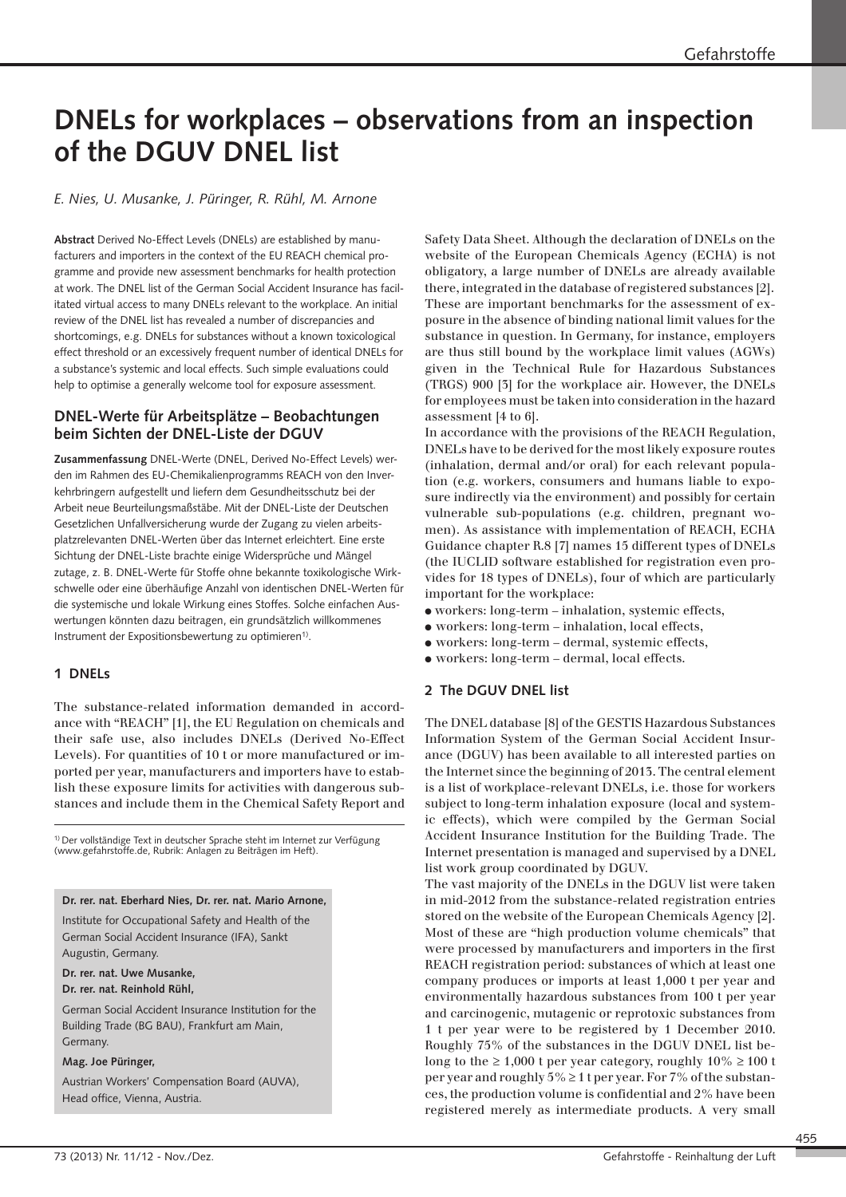# **DNELs for workplaces – observations from an inspection of the DGUV DNEL list**

*E. Nies, U. Musanke, J. Püringer, R. Rühl, M. Arnone* 

**Abstract** Derived No-Effect Levels (DNELs) are established by manufacturers and importers in the context of the EU REACH chemical programme and provide new assessment benchmarks for health protection at work. The DNEL list of the German Social Accident Insurance has facilitated virtual access to many DNELs relevant to the workplace. An initial review of the DNEL list has revealed a number of discrepancies and shortcomings, e.g. DNELs for substances without a known toxicological effect threshold or an excessively frequent number of identical DNELs for a substance's systemic and local effects. Such simple evaluations could help to optimise a generally welcome tool for exposure assessment.

## **DNEL-Werte für Arbeitsplätze – Beobachtungen beim Sichten der DNEL-Liste der DGUV**

**Zusammenfassung** DNEL-Werte (DNEL, Derived No-Effect Levels) werden im Rahmen des EU-Chemikalienprogramms REACH von den Inverkehrbringern aufgestellt und liefern dem Gesundheitsschutz bei der Arbeit neue Beurteilungsmaßstäbe. Mit der DNEL-Liste der Deutschen Gesetzlichen Unfallversicherung wurde der Zugang zu vielen arbeitsplatzrelevanten DNEL-Werten über das Internet erleichtert. Eine erste Sichtung der DNEL-Liste brachte einige Widersprüche und Mängel zutage, z. B. DNEL-Werte für Stoffe ohne bekannte toxikologische Wirkschwelle oder eine überhäufige Anzahl von identischen DNEL-Werten für die systemische und lokale Wirkung eines Stoffes. Solche einfachen Auswertungen könnten dazu beitragen, ein grundsätzlich willkommenes Instrument der Expositionsbewertung zu optimieren<sup>1)</sup>.

# **1 DNELs**

The substance-related information demanded in accordance with "REACH" [1], the EU Regulation on chemicals and their safe use, also includes DNELs (Derived No-Effect Levels). For quantities of 10 t or more manufactured or imported per year, manufacturers and importers have to establish these exposure limits for activities with dangerous substances and include them in the Chemical Safety Report and

1) Der vollständige Text in deutscher Sprache steht im Internet zur Verfügung (www.gefahrstoffe.de, Rubrik: Anlagen zu Beiträgen im Heft).

**Dr. rer. nat. Eberhard Nies, Dr. rer. nat. Mario Arnone,** 

Institute for Occupational Safety and Health of the German Social Accident Insurance (IFA), Sankt Augustin, Germany.

**Dr. rer. nat. Uwe Musanke,** 

**Dr. rer. nat. Reinhold Rühl,** 

German Social Accident Insurance Institution for the Building Trade (BG BAU), Frankfurt am Main, Germany.

## **Mag. Joe Püringer,**

Austrian Workers' Compensation Board (AUVA), Head office, Vienna, Austria.

Safety Data Sheet. Although the declaration of DNELs on the website of the European Chemicals Agency (ECHA) is not obligatory, a large number of DNELs are already available there, integrated in the database of registered substances [2]. These are important benchmarks for the assessment of exposure in the absence of binding national limit values for the substance in question. In Germany, for instance, employers are thus still bound by the workplace limit values (AGWs) given in the Technical Rule for Hazardous Substances (TRGS) 900 [3] for the workplace air. However, the DNELs for employees must be taken into consideration in the hazard assessment [4 to 6].

In accordance with the provisions of the REACH Regulation, DNELs have to be derived for the most likely exposure routes (inhalation, dermal and/or oral) for each relevant popula tion (e.g. workers, consumers and humans liable to exposure indirectly via the environment) and possibly for certain vulnerable sub-populations (e.g. children, pregnant women). As assistance with implementation of REACH, ECHA Guidance chapter R.8 [7] names 15 different types of DNELs (the IUCLID software established for registration even provides for 18 types of DNELs), four of which are particularly important for the workplace:

- workers: long-term inhalation, systemic effects,
- workers: long-term inhalation, local effects,
- workers: long-term dermal, systemic effects,
- workers: long-term dermal, local effects.

# **2 The DGUV DNEL list**

The DNEL database [8] of the GESTIS Hazardous Substances Information System of the German Social Accident Insur ance (DGUV) has been available to all interested parties on the Internet since the beginning of 2013. The central element is a list of workplace-relevant DNELs, i.e. those for workers subject to long-term inhalation exposure (local and systemic effects), which were compiled by the German Social Accident Insurance Institution for the Building Trade. The Internet presentation is managed and supervised by a DNEL list work group coordinated by DGUV.

The vast majority of the DNELs in the DGUV list were taken in mid-2012 from the substance-related registration entries stored on the website of the European Chemicals Agency [2]. Most of these are "high production volume chemicals" that were processed by manufacturers and importers in the first REACH registration period: substances of which at least one company produces or imports at least 1,000 t per year and environmentally hazardous substances from 100 t per year and carcinogenic, mutagenic or reprotoxic substances from 1 t per year were to be registered by 1 December 2010. Roughly 75% of the substances in the DGUV DNEL list belong to the  $\geq 1,000$  t per year category, roughly  $10\% \geq 100$  t per year and roughly  $5\% \ge 1$  t per year. For 7% of the substances, the production volume is confidential and 2% have been registered merely as intermediate products. A very small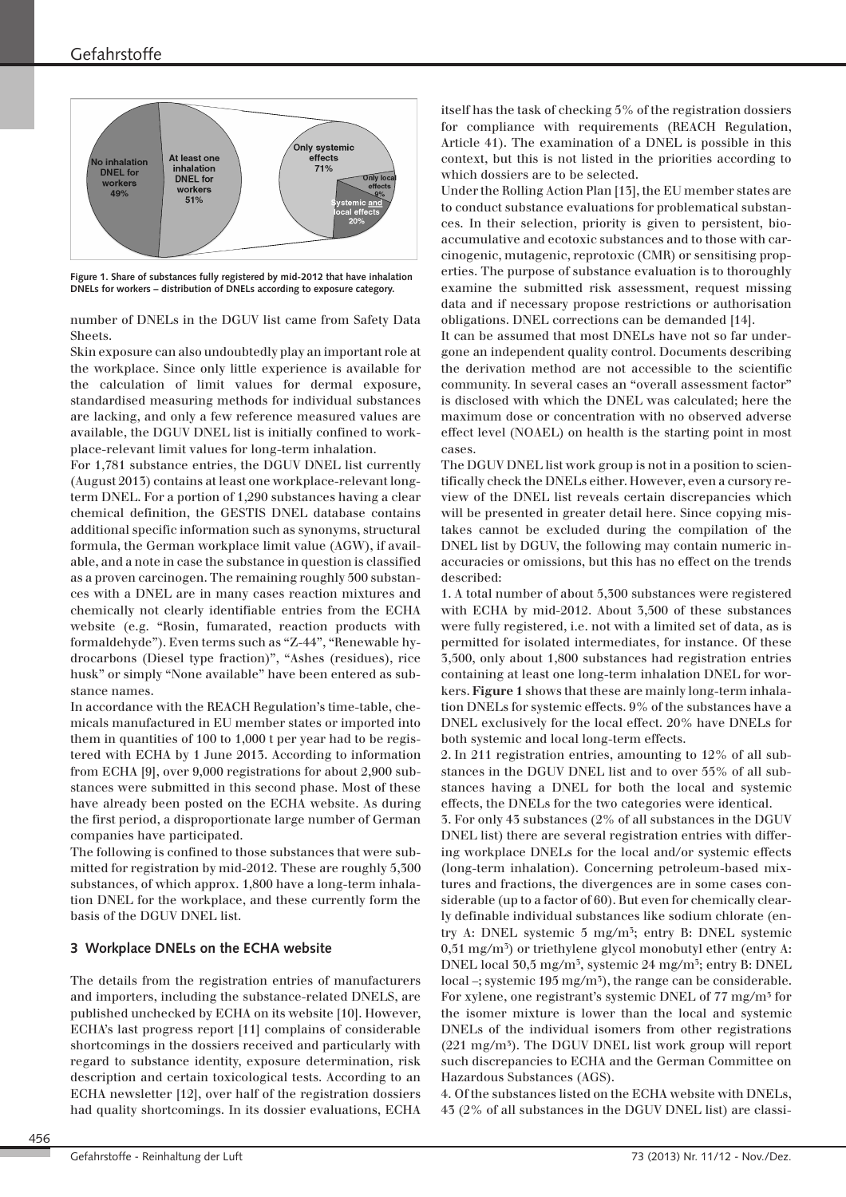

**Figure 1. Share of substances fully registered by mid-2012 that have inhalation DNELs for workers – distribution of DNELs according to exposure category.** 

number of DNELs in the DGUV list came from Safety Data Sheets.

Skin exposure can also undoubtedly play an important role at the workplace. Since only little experience is available for the calculation of limit values for dermal exposure, standardised measuring methods for individual substances are lacking, and only a few reference measured values are available, the DGUV DNEL list is initially confined to workplace-relevant limit values for long-term inhalation.

For 1,781 substance entries, the DGUV DNEL list currently (August 2013) contains at least one workplace-relevant longterm DNEL. For a portion of 1,290 substances having a clear chemical definition, the GESTIS DNEL database contains additional specific information such as synonyms, structural formula, the German workplace limit value (AGW), if avail able, and a note in case the substance in question is classified as a proven carcinogen. The remaining roughly 500 substances with a DNEL are in many cases reaction mixtures and chemically not clearly identifiable entries from the ECHA website (e.g. "Rosin, fumarated, reaction products with formaldehyde"). Even terms such as "Z-44", "Renewable hydrocarbons (Diesel type fraction)", "Ashes (residues), rice husk" or simply "None available" have been entered as substance names.

In accordance with the REACH Regulation's time-table, chemicals manufactured in EU member states or imported into them in quantities of 100 to 1,000 t per year had to be regis tered with ECHA by 1 June 2013. According to information from ECHA [9], over 9,000 registrations for about 2,900 substances were submitted in this second phase. Most of these have already been posted on the ECHA website. As during the first period, a disproportionate large number of German companies have participated.

The following is confined to those substances that were submitted for registration by mid-2012. These are roughly 5,300 substances, of which approx. 1,800 have a long-term inhalation DNEL for the workplace, and these currently form the basis of the DGUV DNEL list.

## **3 Workplace DNELs on the ECHA website**

The details from the registration entries of manufacturers and importers, including the substance-related DNELS, are published unchecked by ECHA on its website [10]. However, ECHA's last progress report [11] complains of considerable shortcomings in the dossiers received and particularly with regard to substance identity, exposure determination, risk description and certain toxicological tests. According to an ECHA newsletter [12], over half of the registration dossiers had quality shortcomings. In its dossier evaluations, ECHA

itself has the task of checking 5% of the registration dossiers for compliance with requirements (REACH Regulation, Article 41). The examination of a DNEL is possible in this context, but this is not listed in the priorities according to which dossiers are to be selected.

Under the Rolling Action Plan [13], the EU member states are to conduct substance evaluations for problematical substances. In their selection, priority is given to persistent, bioaccumulative and ecotoxic substances and to those with carcinogenic, mutagenic, reprotoxic (CMR) or sensitising prop erties. The purpose of substance evaluation is to thoroughly examine the submitted risk assessment, request missing data and if necessary propose restrictions or authorisation obligations. DNEL corrections can be demanded [14].

It can be assumed that most DNELs have not so far undergone an independent quality control. Documents describing the derivation method are not accessible to the scientific community. In several cases an "overall assessment factor" is disclosed with which the DNEL was calculated; here the maximum dose or concentration with no observed adverse effect level (NOAEL) on health is the starting point in most cases.

The DGUV DNEL list work group is not in a position to scientifically check the DNELs either. However, even a cursory review of the DNEL list reveals certain discrepancies which will be presented in greater detail here. Since copying mistakes cannot be excluded during the compilation of the DNEL list by DGUV, the following may contain numeric in accuracies or omissions, but this has no effect on the trends described:

1. A total number of about 5,300 substances were registered with ECHA by mid-2012. About 3,500 of these substances were fully registered, i.e. not with a limited set of data, as is permitted for isolated intermediates, for instance. Of these 3,500, only about 1,800 substances had registration entries containing at least one long-term inhalation DNEL for workers. **Figure 1** shows that these are mainly long-term inhalation DNELs for systemic effects. 9% of the substances have a DNEL exclusively for the local effect. 20% have DNELs for both systemic and local long-term effects.

2. In 211 registration entries, amounting to 12% of all substances in the DGUV DNEL list and to over 55% of all substances having a DNEL for both the local and systemic effects, the DNELs for the two categories were identical.

3. For only 43 substances (2% of all substances in the DGUV DNEL list) there are several registration entries with differing workplace DNELs for the local and/or systemic effects (long-term inhalation). Concerning petroleum-based mix tures and fractions, the divergences are in some cases considerable (up to a factor of 60). But even for chemically clearly definable individual substances like sodium chlorate (entry A: DNEL systemic 5 mg/m<sup>3</sup> ; entry B: DNEL systemic 0,51 mg/m<sup>3</sup>) or triethylene glycol monobutyl ether (entry A: DNEL local 30,5 mg/m<sup>3</sup> , systemic 24 mg/m<sup>3</sup> ; entry B: DNEL local –; systemic 195 mg/m<sup>5</sup>), the range can be considerable. For xylene, one registrant's systemic DNEL of 77 mg/m<sup>3</sup> for the isomer mixture is lower than the local and systemic DNELs of the individual isomers from other registrations  $(221 \text{ mg/m}^3)$ . The DGUV DNEL list work group will report such discrepancies to ECHA and the German Committee on Hazardous Substances (AGS).

4. Of the substances listed on the ECHA website with DNELs, 43 (2% of all substances in the DGUV DNEL list) are classi-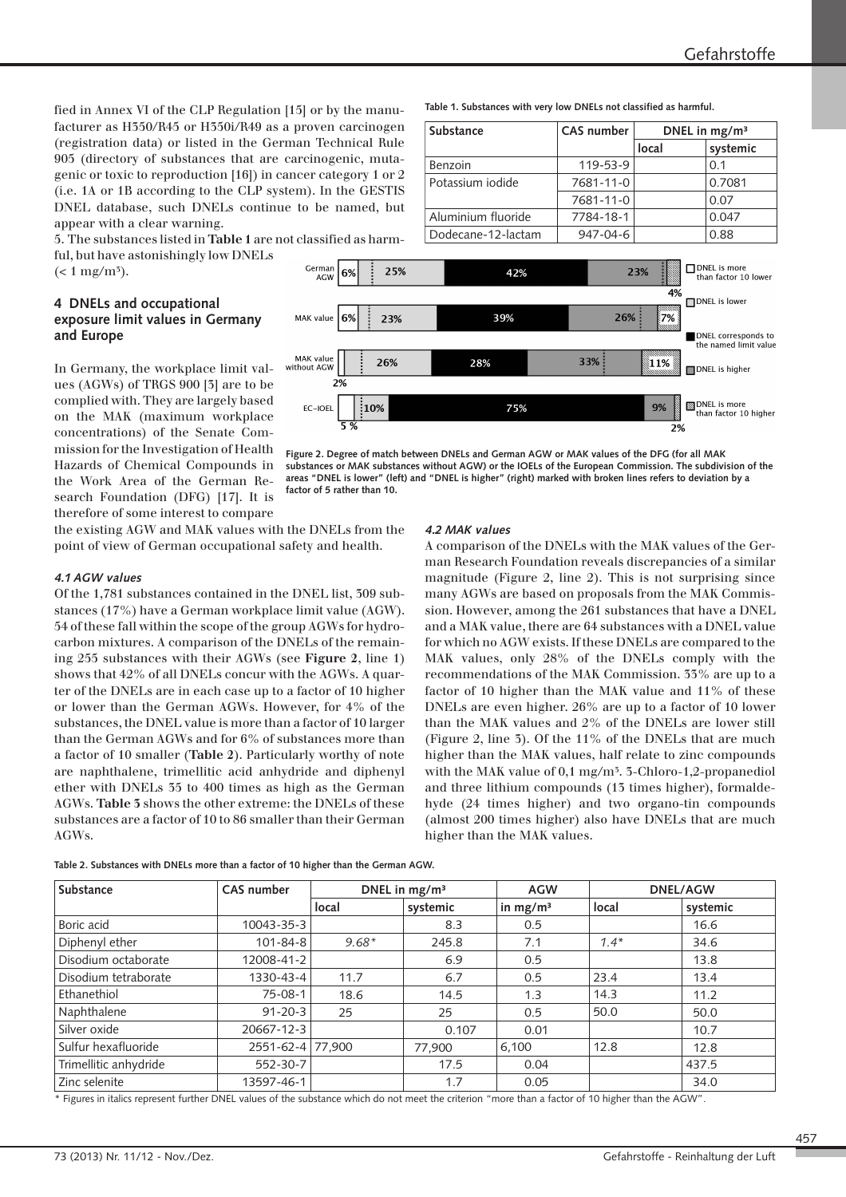**local systemic**

7681-11-0 0.07

9%

 $\overline{2\%}$ 

than factor 10 higher

fied in Annex VI of the CLP Regulation [15] or by the manufacturer as H350/R45 or H350i/R49 as a proven carcinogen (registration data) or listed in the German Technical Rule 905 (directory of substances that are carcinogenic, mutagenic or toxic to reproduction [16]) in cancer category 1 or 2 (i.e. 1A or 1B according to the CLP system). In the GESTIS DNEL database, such DNELs continue to be named, but appear with a clear warning.

5. The substances listed in **Table 1** are not classified as harm-

ful, but have astonishingly low DNELs  $(< 1$  mg/m<sup>5</sup>).

#### **4 DNELs and occupational exposure limit values in Germany and Europe**

In Germany, the workplace limit values (AGWs) of TRGS 900 [3] are to be complied with. They are largely based on the MAK (maximum workplace concentrations) of the Senate Commission for the Investigation of Health Hazards of Chemical Compounds in the Work Area of the German Research Foundation (DFG) [17]. It is therefore of some interest to compare

the existing AGW and MAK values with the DNELs from the point of view of German occupational safety and health.

EC-IOEL

 $\frac{1}{2}10\%$ 

## *4.1 AGW values*

Of the 1,781 substances contained in the DNEL list, 309 substances (17%) have a German workplace limit value (AGW). 54 of these fall within the scope of the group AGWs for hydrocarbon mixtures. A comparison of the DNELs of the remain ing 255 substances with their AGWs (see **Figure 2**, line 1) shows that 42% of all DNELs concur with the AGWs. A quarter of the DNELs are in each case up to a factor of 10 higher or lower than the German AGWs. However, for 4% of the substances, the DNEL value is more than a factor of 10 larger than the German AGWs and for 6% of substances more than a factor of 10 smaller (**Table 2**). Particularly worthy of note are naphthalene, trimellitic acid anhydride and diphenyl ether with DNELs 35 to 400 times as high as the German AGWs. **Table 3** shows the other extreme: the DNELs of these substances are a factor of 10 to 86 smaller than their German AGWs.

DNEL is more<br>than factor 10 lower Germar 25% 42% 23% 6% **AGW**  $\frac{1}{4%}$  $\Box$  DNEL is lower 39%  $26%$ MAK value 69 23% 7% DNEL corresponds to the named limit value MAK value<br>without AGW 33% 26% 28%  $11\%$ DNEL is higher  $2%$ DNEL is more

75%

Substance **CAS** number DNEL in mg/m<sup>3</sup>

Benzoin 119-53-9 0.1 Potassium iodide | 7681-11-0 | 0.7081

**Table 1. Substances with very low DNELs not classified as harmful.** 

Aluminium fluoride | 7784-18-1 | 0.047  $Dodecane-12-lactam$  947-04-6 0.88



## *4.2 MAK values*

A comparison of the DNELs with the MAK values of the German Research Foundation reveals discrepancies of a similar magnitude (Figure 2, line 2). This is not surprising since many AGWs are based on proposals from the MAK Commission. However, among the 261 substances that have a DNEL and a MAK value, there are 64 substances with a DNEL value for which no AGW exists. If these DNELs are compared to the MAK values, only 28% of the DNELs comply with the recommendations of the MAK Commission. 33% are up to a factor of 10 higher than the MAK value and 11% of these DNELs are even higher. 26% are up to a factor of 10 lower than the MAK values and 2% of the DNELs are lower still (Figure 2, line 3). Of the 11% of the DNELs that are much higher than the MAK values, half relate to zinc compounds with the MAK value of 0,1 mg/m<sup>5</sup>. 3-Chloro-1,2-propanediol and three lithium compounds (13 times higher), formaldehyde (24 times higher) and two organo-tin compounds (almost 200 times higher) also have DNELs that are much higher than the MAK values.

| Substance             | <b>CAS</b> number | DNEL in $mg/m3$ |          | <b>AGW</b> | <b>DNEL/AGW</b> |          |
|-----------------------|-------------------|-----------------|----------|------------|-----------------|----------|
|                       |                   | local           | systemic | in $mg/m3$ | local           | systemic |
| Boric acid            | 10043-35-3        |                 | 8.3      | 0.5        |                 | 16.6     |
| Diphenyl ether        | $101 - 84 - 8$    | $9.68*$         | 245.8    | 7.1        | $1.4*$          | 34.6     |
| Disodium octaborate   | 12008-41-2        |                 | 6.9      | 0.5        |                 | 13.8     |
| Disodium tetraborate  | 1330-43-4         | 11.7            | 6.7      | 0.5        | 23.4            | 13.4     |
| Ethanethiol           | $75 - 08 - 1$     | 18.6            | 14.5     | 1.3        | 14.3            | 11.2     |
| Naphthalene           | $91 - 20 - 3$     | 25              | 25       | 0.5        | 50.0            | 50.0     |
| Silver oxide          | 20667-12-3        |                 | 0.107    | 0.01       |                 | 10.7     |
| Sulfur hexafluoride   | 2551-62-4 77.900  |                 | 77,900   | 6,100      | 12.8            | 12.8     |
| Trimellitic anhydride | 552-30-7          |                 | 17.5     | 0.04       |                 | 437.5    |
| <b>Zinc selenite</b>  | 13597-46-1        |                 | 1.7      | 0.05       |                 | 34.0     |

**Table 2. Substances with DNELs more than a factor of 10 higher than the German AGW.** 

\* Figures in italics represent further DNEL values of the substance which do not meet the criterion "more than a factor of 10 higher than the AGW".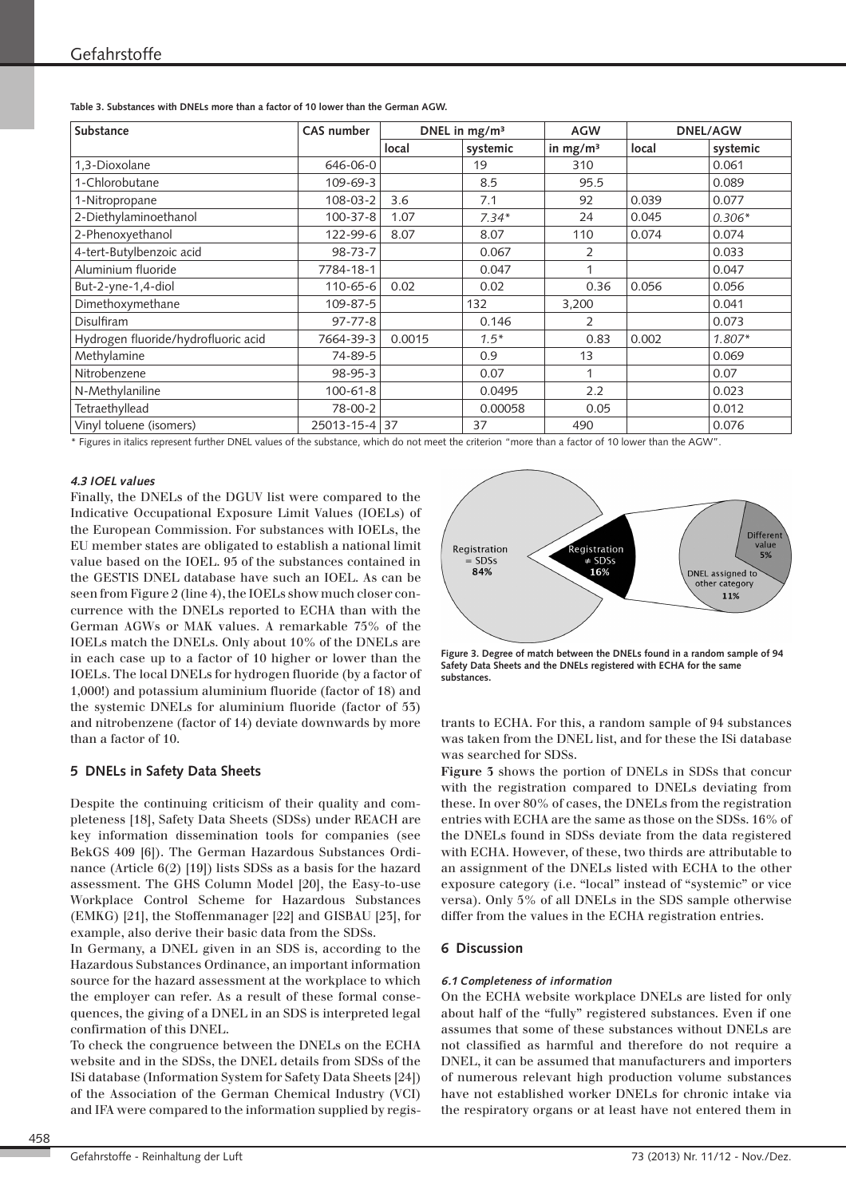| Table 3. Substances with DNELs more than a factor of 10 lower than the German AGW. |  |
|------------------------------------------------------------------------------------|--|
|------------------------------------------------------------------------------------|--|

| Substance                           | <b>CAS number</b> | DNEL in mg/m <sup>3</sup> |          | <b>AGW</b> | <b>DNEL/AGW</b> |          |
|-------------------------------------|-------------------|---------------------------|----------|------------|-----------------|----------|
|                                     |                   | local                     | systemic | in $mg/m3$ | local           | systemic |
| 1,3-Dioxolane                       | 646-06-0          |                           | 19       | 310        |                 | 0.061    |
| 1-Chlorobutane                      | 109-69-3          |                           | 8.5      | 95.5       |                 | 0.089    |
| 1-Nitropropane                      | 108-03-2          | 3.6                       | 7.1      | 92         | 0.039           | 0.077    |
| 2-Diethylaminoethanol               | $100 - 37 - 8$    | 1.07                      | $7.34*$  | 24         | 0.045           | $0.306*$ |
| 2-Phenoxyethanol                    | 122-99-6          | 8.07                      | 8.07     | 110        | 0.074           | 0.074    |
| 4-tert-Butylbenzoic acid            | $98 - 73 - 7$     |                           | 0.067    | 2          |                 | 0.033    |
| Aluminium fluoride                  | 7784-18-1         |                           | 0.047    | 1          |                 | 0.047    |
| But-2-yne-1,4-diol                  | 110-65-6          | 0.02                      | 0.02     | 0.36       | 0.056           | 0.056    |
| Dimethoxymethane                    | 109-87-5          |                           | 132      | 3,200      |                 | 0.041    |
| <b>Disulfiram</b>                   | $97 - 77 - 8$     |                           | 0.146    | 2          |                 | 0.073    |
| Hydrogen fluoride/hydrofluoric acid | 7664-39-3         | 0.0015                    | $1.5*$   | 0.83       | 0.002           | $1.807*$ |
| Methylamine                         | 74-89-5           |                           | 0.9      | 13         |                 | 0.069    |
| Nitrobenzene                        | 98-95-3           |                           | 0.07     | 1          |                 | 0.07     |
| N-Methylaniline                     | $100 - 61 - 8$    |                           | 0.0495   | 2.2        |                 | 0.023    |
| Tetraethyllead                      | 78-00-2           |                           | 0.00058  | 0.05       |                 | 0.012    |
| Vinyl toluene (isomers)             | 25013-15-4 37     |                           | 37       | 490        |                 | 0.076    |

\* Figures in italics represent further DNEL values of the substance, which do not meet the criterion "more than a factor of 10 lower than the AGW".

#### *4.3 IOEL values*

Finally, the DNELs of the DGUV list were compared to the Indicative Occupational Exposure Limit Values (IOELs) of the European Commission. For substances with IOELs, the EU member states are obligated to establish a national limit value based on the IOEL. 95 of the substances contained in the GESTIS DNEL database have such an IOEL. As can be seen from Figure 2 (line 4), the IOELs show much closer concurrence with the DNELs reported to ECHA than with the German AGWs or MAK values. A remarkable 75% of the IOELs match the DNELs. Only about 10% of the DNELs are in each case up to a factor of 10 higher or lower than the IOELs. The local DNELs for hydrogen fluoride (by a factor of 1,000!) and potassium aluminium fluoride (factor of 18) and the systemic DNELs for aluminium fluoride (factor of 53) and nitrobenzene (factor of 14) deviate downwards by more than a factor of 10.

#### **5 DNELs in Safety Data Sheets**

Despite the continuing criticism of their quality and completeness [18], Safety Data Sheets (SDSs) under REACH are key information dissemination tools for companies (see BekGS 409 [6]). The German Hazardous Substances Ordinance (Article 6(2) [19]) lists SDSs as a basis for the hazard assessment. The GHS Column Model [20], the Easy-to-use Workplace Control Scheme for Hazardous Substances (EMKG) [21], the Stoffenmanager [22] and GISBAU [23], for example, also derive their basic data from the SDSs.

In Germany, a DNEL given in an SDS is, according to the Hazardous Substances Ordinance, an important information source for the hazard assessment at the workplace to which the employer can refer. As a result of these formal consequences, the giving of a DNEL in an SDS is interpreted legal confirmation of this DNEL.

To check the congruence between the DNELs on the ECHA website and in the SDSs, the DNEL details from SDSs of the ISi database (Information System for Safety Data Sheets [24]) of the Association of the German Chemical Industry (VCI) and IFA were compared to the information supplied by regis-



**Figure 3. Degree of match between the DNELs found in a random sample of 94 Safety Data Sheets and the DNELs registered with ECHA for the same substances.** 

trants to ECHA. For this, a random sample of 94 substances was taken from the DNEL list, and for these the ISi database was searched for SDSs.

**Figure 3** shows the portion of DNELs in SDSs that concur with the registration compared to DNELs deviating from these. In over 80% of cases, the DNELs from the registration entries with ECHA are the same as those on the SDSs. 16% of the DNELs found in SDSs deviate from the data registered with ECHA. However, of these, two thirds are attributable to an assignment of the DNELs listed with ECHA to the other exposure category (i.e. "local" instead of "systemic" or vice versa). Only 5% of all DNELs in the SDS sample otherwise differ from the values in the ECHA registration entries.

#### **6 Discussion**

#### *6.1 Completeness of information*

On the ECHA website workplace DNELs are listed for only about half of the "fully" registered substances. Even if one assumes that some of these substances without DNELs are not classified as harmful and therefore do not require a DNEL, it can be assumed that manufacturers and importers of numerous relevant high production volume substances have not established worker DNELs for chronic intake via the respiratory organs or at least have not entered them in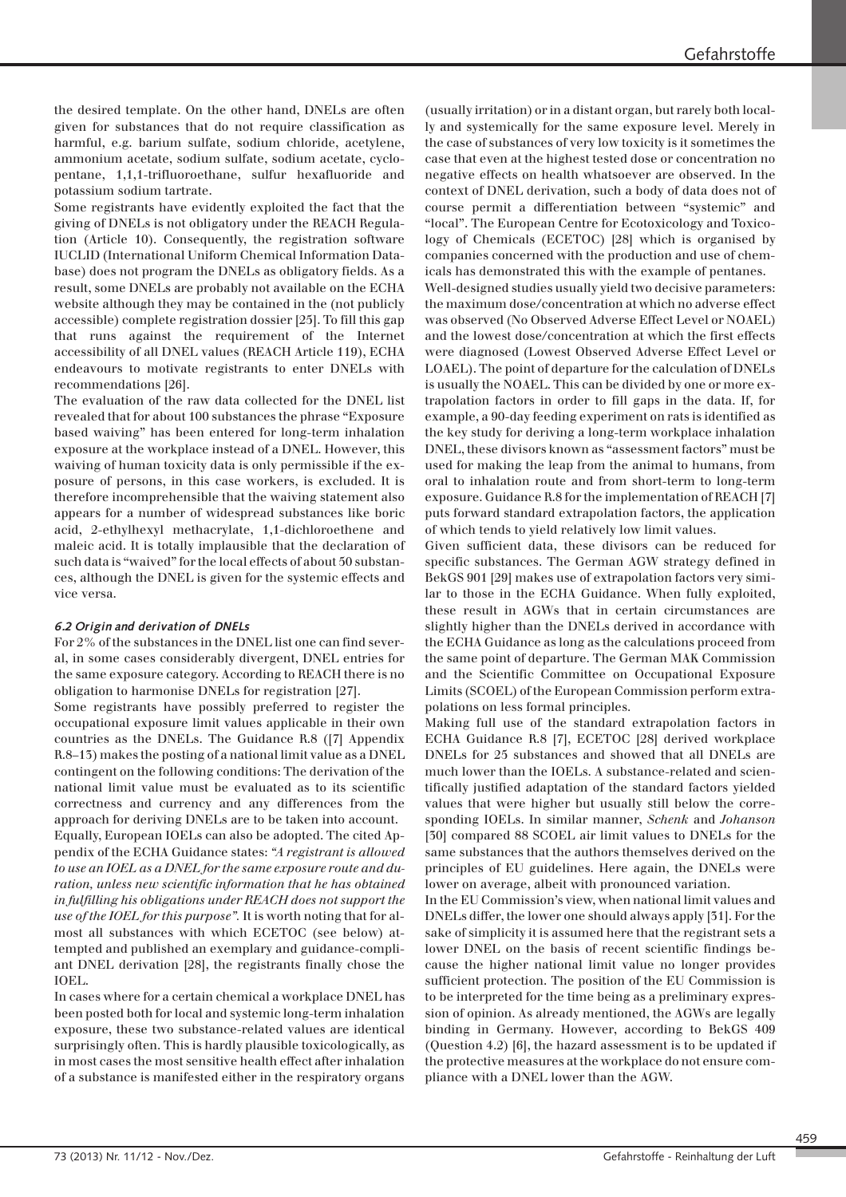the desired template. On the other hand, DNELs are often given for substances that do not require classification as harmful, e.g. barium sulfate, sodium chloride, acetylene, ammonium acetate, sodium sulfate, sodium acetate, cyclopentane, 1,1,1-trifluoroethane, sulfur hexafluoride and potassium sodium tartrate.

Some registrants have evidently exploited the fact that the giving of DNELs is not obligatory under the REACH Regulation (Article 10). Consequently, the registration software IUCLID (International Uniform Chemical Information Database) does not program the DNELs as obligatory fields. As a result, some DNELs are probably not available on the ECHA website although they may be contained in the (not publicly accessible) complete registration dossier [25]. To fill this gap that runs against the requirement of the Internet accessibility of all DNEL values (REACH Article 119), ECHA endeavours to motivate registrants to enter DNELs with recommendations [26].

The evaluation of the raw data collected for the DNEL list revealed that for about 100 substances the phrase "Exposure based waiving" has been entered for long-term inhalation exposure at the workplace instead of a DNEL. However, this waiving of human toxicity data is only permissible if the exposure of persons, in this case workers, is excluded. It is therefore incomprehensible that the waiving statement also appears for a number of widespread substances like boric acid, 2-ethylhexyl methacrylate, 1,1-dichloroethene and maleic acid. It is totally implausible that the declaration of such data is "waived" for the local effects of about 50 substances, although the DNEL is given for the systemic effects and vice versa.

## *6.2 Origin and derivation of DNELs*

For 2% of the substances in the DNEL list one can find several, in some cases considerably divergent, DNEL entries for the same exposure category. According to REACH there is no obligation to harmonise DNELs for registration [27].

Some registrants have possibly preferred to register the occupational exposure limit values applicable in their own countries as the DNELs. The Guidance R.8 ([7] Appendix R.8–13) makes the posting of a national limit value as a DNEL contingent on the following conditions: The derivation of the national limit value must be evaluated as to its scientific correctness and currency and any differences from the approach for deriving DNELs are to be taken into account. Equally, European IOELs can also be adopted. The cited Appendix of the ECHA Guidance states: *"A registrant is allowed to use an IOEL as a DNEL for the same exposure route and duration, unless new scientific information that he has obtained in ful filling his obligations under REACH does not support the use of the IOEL for this purpose".* It is worth noting that for almost all substances with which ECETOC (see below) attempted and published an exemplary and guidance-compliant DNEL derivation [28], the registrants finally chose the IOEL.

In cases where for a certain chemical a workplace DNEL has been posted both for local and systemic long-term inhalation exposure, these two substance-related values are identical surprisingly often. This is hardly plausible toxicologically, as in most cases the most sensitive health effect after inhalation of a substance is manifested either in the respiratory organs

(usually irritation) or in a distant organ, but rarely both locally and systemically for the same exposure level. Merely in the case of substances of very low toxicity is it sometimes the case that even at the highest tested dose or concentration no negative effects on health whatsoever are observed. In the context of DNEL derivation, such a body of data does not of course permit a differentiation between "systemic" and "local". The European Centre for Ecotoxicology and Toxicology of Chemicals (ECETOC) [28] which is organised by companies concerned with the production and use of chem icals has demonstrated this with the example of pentanes. Well-designed studies usually yield two decisive parameters: the maximum dose/concentration at which no adverse effect was observed (No Observed Adverse Effect Level or NOAEL) and the lowest dose/concentration at which the first effects were diagnosed (Lowest Observed Adverse Effect Level or LOAEL). The point of departure for the calculation of DNELs is usually the NOAEL. This can be divided by one or more extrapolation factors in order to fill gaps in the data. If, for example, a 90-day feeding experiment on rats is identified as the key study for deriving a long-term workplace inhalation DNEL, these divisors known as "assessment factors" must be used for making the leap from the animal to humans, from oral to inhalation route and from short-term to long-term exposure. Guidance R.8 for the implementation of REACH [7] puts forward standard extrapolation factors, the application of which tends to yield relatively low limit values.

Given sufficient data, these divisors can be reduced for specific substances. The German AGW strategy defined in BekGS 901 [29] makes use of extrapolation factors very similar to those in the ECHA Guidance. When fully exploited, these result in AGWs that in certain circumstances are slightly higher than the DNELs derived in accordance with the ECHA Guidance as long as the calculations proceed from the same point of departure. The German MAK Commission and the Scientific Committee on Occupational Exposure Limits (SCOEL) of the European Commission perform extrapolations on less formal principles.

Making full use of the standard extrapolation factors in ECHA Guidance R.8 [7], ECETOC [28] derived workplace DNELs for 25 substances and showed that all DNELs are much lower than the IOELs. A substance-related and scientifically justified adaptation of the standard factors yielded values that were higher but usually still below the corresponding IOELs. In similar manner, *Schenk* and *Johanson* [30] compared 88 SCOEL air limit values to DNELs for the same substances that the authors themselves derived on the principles of EU guidelines. Here again, the DNELs were lower on average, albeit with pronounced variation.

In the EU Commission's view, when national limit values and DNELs differ, the lower one should always apply [31]. For the sake of simplicity it is assumed here that the registrant sets a lower DNEL on the basis of recent scientific findings be cause the higher national limit value no longer provides sufficient protection. The position of the EU Commission is to be interpreted for the time being as a preliminary expression of opinion. As already mentioned, the AGWs are legally binding in Germany. However, according to BekGS 409 (Question 4.2) [6], the hazard assessment is to be updated if the protective measures at the workplace do not ensure com pliance with a DNEL lower than the AGW.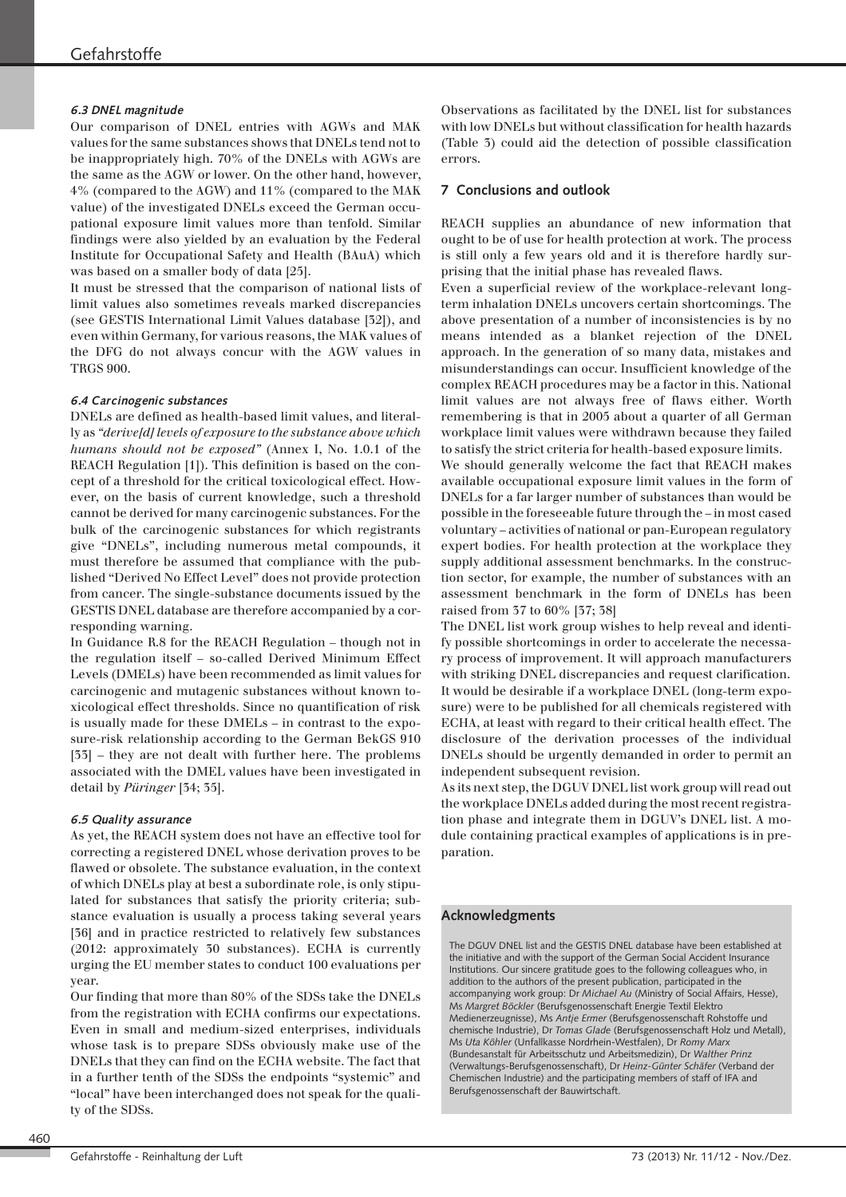#### *6.3 DNEL magnitude*

Our comparison of DNEL entries with AGWs and MAK values for the same substances shows that DNELs tend not to be inappropriately high. 70% of the DNELs with AGWs are the same as the AGW or lower. On the other hand, however, 4% (compared to the AGW) and 11% (compared to the MAK value) of the investigated DNELs exceed the German occupational exposure limit values more than tenfold. Similar findings were also yielded by an evaluation by the Federal Institute for Occupational Safety and Health (BAuA) which was based on a smaller body of data [25].

It must be stressed that the comparison of national lists of limit values also sometimes reveals marked discrepancies (see GESTIS International Limit Values database [32]), and even within Germany, for various reasons, the MAK values of the DFG do not always concur with the AGW values in TRGS 900.

#### *6.4 Carcinogenic substances*

DNELs are defined as health-based limit values, and literally as *"derive[d] levels of exposure to the substance above which humans should not be exposed"* (Annex I, No. 1.0.1 of the REACH Regulation [1]). This definition is based on the concept of a threshold for the critical toxicological effect. How ever, on the basis of current knowledge, such a threshold cannot be derived for many carcinogenic substances. For the bulk of the carcinogenic substances for which registrants give "DNELs", including numerous metal compounds, it must therefore be assumed that compliance with the published "Derived No Effect Level" does not provide protection from cancer. The single-substance documents issued by the GESTIS DNEL database are therefore accompanied by a corresponding warning.

In Guidance R.8 for the REACH Regulation – though not in the regulation itself – so-called Derived Minimum Effect Levels (DMELs) have been recommended as limit values for carcinogenic and mutagenic substances without known toxicological effect thresholds. Since no quantification of risk is usually made for these DMELs - in contrast to the exposure-risk relationship according to the German BekGS 910 [33] – they are not dealt with further here. The problems associated with the DMEL values have been investigated in detail by *Püringer* [34; 35].

#### *6.5 Quality assurance*

As yet, the REACH system does not have an effective tool for correcting a registered DNEL whose derivation proves to be flawed or obsolete. The substance evaluation, in the context of which DNELs play at best a subordinate role, is only stipulated for substances that satisfy the priority criteria; substance evaluation is usually a process taking several years [36] and in practice restricted to relatively few substances (2012: approximately 30 substances). ECHA is currently urging the EU member states to conduct 100 evaluations per year.

Our finding that more than 80% of the SDSs take the DNELs from the registration with ECHA confirms our expectations. Even in small and medium-sized enterprises, individuals whose task is to prepare SDSs obviously make use of the DNELs that they can find on the ECHA website. The fact that in a further tenth of the SDSs the endpoints "systemic" and "local" have been interchanged does not speak for the quality of the SDSs.

Observations as facilitated by the DNEL list for substances with low DNELs but without classification for health hazards (Table 3) could aid the detection of possible classification errors.

#### **7 Conclusions and outlook**

REACH supplies an abundance of new information that ought to be of use for health protection at work. The process is still only a few years old and it is therefore hardly surprising that the initial phase has revealed flaws.

Even a superficial review of the workplace-relevant longterm inhalation DNELs uncovers certain shortcomings. The above presentation of a number of inconsistencies is by no means intended as a blanket rejection of the DNEL approach. In the generation of so many data, mistakes and misunderstandings can occur. Insufficient knowledge of the complex REACH procedures may be a factor in this. National limit values are not always free of flaws either. Worth remembering is that in 2005 about a quarter of all German workplace limit values were withdrawn because they failed to satisfy the strict criteria for health-based exposure limits.

We should generally welcome the fact that REACH makes available occupational exposure limit values in the form of DNELs for a far larger number of substances than would be possible in the foreseeable future through the – in most cased voluntary – activities of national or pan-European regulatory expert bodies. For health protection at the workplace they supply additional assessment benchmarks. In the construction sector, for example, the number of substances with an assessment benchmark in the form of DNELs has been rais ed from 37 to 60% [37; 38]

The DNEL list work group wishes to help reveal and identify possible shortcomings in order to accelerate the necessary process of improvement. It will approach manufacturers with striking DNEL discrepancies and request clarification. It would be desirable if a workplace DNEL (long-term exposure) were to be published for all chemicals registered with ECHA, at least with regard to their critical health effect. The disclosure of the derivation processes of the individual DNELs should be urgently demanded in order to permit an independent subsequent revision.

As its next step, the DGUV DNEL list work group will read out the workplace DNELs added during the most recent registration phase and integrate them in DGUV's DNEL list. A module containing practical examples of applications is in preparation.

## **Acknowledgments**

The DGUV DNEL list and the GESTIS DNEL database have been established at the initiative and with the support of the German Social Accident Insurance Institutions. Our sincere gratitude goes to the following colleagues who, in addition to the authors of the present publication, participated in the accompanying work group: Dr *Michael Au* (Ministry of Social Affairs, Hesse), Ms *Margret Böckler* (Berufsgenossenschaft Energie Textil Elektro Medienerzeugnisse), Ms *Antje Ermer* (Berufsgenossenschaft Rohstoffe und chemische Industrie), Dr *Tomas Glade* (Berufsgenossenschaft Holz und Metall), Ms *Uta Köhler* (Unfallkasse Nordrhein-Westfalen), Dr *Romy Marx* (Bundesanstalt für Arbeitsschutz und Arbeitsmedizin), Dr *Walther Prinz* (Verwaltungs-Berufsgenossenschaft), Dr *Heinz-Günter Schäfer* (Verband der Chemischen Industrie) and the participating members of staff of IFA and Berufsgenossenschaft der Bauwirtschaft.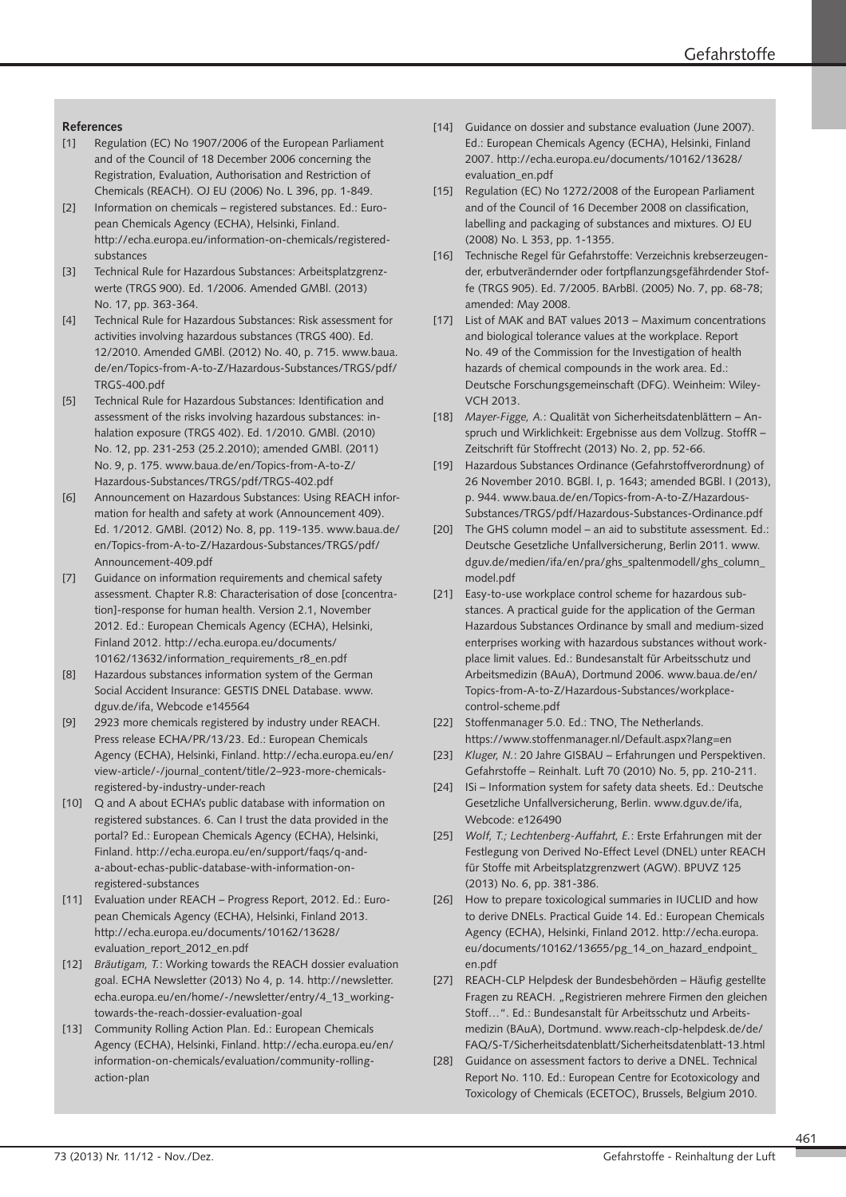## **References**

- [1] Regulation (EC) No 1907/2006 of the European Parliament and of the Council of 18 December 2006 concerning the Registration, Evaluation, Authorisation and Restriction of Chemicals (REACH). OJ EU (2006) No. L 396, pp. 1-849.
- [2] Information on chemicals registered substances. Ed.: European Chemicals Agency (ECHA), Helsinki, Finland. http://echa.europa.eu/information-on-chemicals/registeredsubstances
- [3] Technical Rule for Hazardous Substances: Arbeitsplatzgrenzwerte (TRGS 900). Ed. 1/2006. Amended GMBl. (2013) No. 17, pp. 363-364.
- [4] Technical Rule for Hazardous Substances: Risk assessment for activities involving hazardous substances (TRGS 400). Ed. 12/2010. Amended GMBl. (2012) No. 40, p. 715. www.baua. de/en/Topics-from-A-to-Z/Hazardous-Substances/TRGS/pdf/ TRGS-400.pdf
- [5] Technical Rule for Hazardous Substances: Identification and assessment of the risks involving hazardous substances: in halation exposure (TRGS 402). Ed. 1/2010. GMBl. (2010) No. 12, pp. 231-253 (25.2.2010); amended GMBl. (2011) No. 9, p. 175. www.baua.de/en/Topics-from-A-to-Z/ Hazardous-Substances/TRGS/pdf/TRGS-402.pdf
- [6] Announcement on Hazardous Substances: Using REACH information for health and safety at work (Announcement 409). Ed. 1/2012. GMBl. (2012) No. 8, pp. 119-135. www.baua.de/ en/Topics-from-A-to-Z/Hazardous-Substances/TRGS/pdf/ Announcement-409.pdf
- [7] Guidance on information requirements and chemical safety assessment. Chapter R.8: Characterisation of dose [concentration]-response for human health. Version 2.1, November 2012. Ed.: European Chemicals Agency (ECHA), Helsinki, Finland 2012. http://echa.europa.eu/documents/ 10162/13632/information\_requirements\_r8\_en.pdf
- [8] Hazardous substances information system of the German Social Accident Insurance: GESTIS DNEL Database. www. dguv.de/ifa, Webcode e145564
- [9] 2923 more chemicals registered by industry under REACH. Press release ECHA/PR/13/23. Ed.: European Chemicals Agency (ECHA), Helsinki, Finland. http://echa.europa.eu/en/ view-article/-/journal\_content/title/2–923-more-chemicalsregistered-by-industry-under-reach
- [10] Q and A about ECHA's public database with information on registered substances. 6. Can I trust the data provided in the portal? Ed.: European Chemicals Agency (ECHA), Helsinki, Finland. http://echa.europa.eu/en/support/faqs/q-anda-about-echas-public-database-with-information-onregistered-substances
- [11] Evaluation under REACH Progress Report, 2012. Ed.: European Chemicals Agency (ECHA), Helsinki, Finland 2013. http://echa.europa.eu/documents/10162/13628/ evaluation\_report\_2012\_en.pdf
- [12] *Bräutigam, T.*: Working towards the REACH dossier evaluation goal. ECHA Newsletter (2013) No 4, p. 14. http://newsletter. echa.europa.eu/en/home/-/newsletter/entry/4\_13\_workingtowards-the-reach-dossier-evaluation-goal
- [13] Community Rolling Action Plan. Ed.: European Chemicals Agency (ECHA), Helsinki, Finland. http://echa.europa.eu/en/ information-on-chemicals/evaluation/community-rollingaction-plan
- [14] Guidance on dossier and substance evaluation (June 2007). Ed.: European Chemicals Agency (ECHA), Helsinki, Finland 2007. http://echa.europa.eu/documents/10162/13628/ evaluation\_en.pdf
- [15] Regulation (EC) No 1272/2008 of the European Parliament and of the Council of 16 December 2008 on classification, labelling and packaging of substances and mixtures. OJ EU (2008) No. L 353, pp. 1-1355.
- [16] Technische Regel für Gefahrstoffe: Verzeichnis krebserzeugender, erbutverändernder oder fortpflanzungsgefährdender Stoffe (TRGS 905). Ed. 7/2005. BArbBl. (2005) No. 7, pp. 68-78; amended: May 2008.
- [17] List of MAK and BAT values 2013 Maximum concentrations and biological tolerance values at the workplace. Report No. 49 of the Commission for the Investigation of health hazards of chemical compounds in the work area. Ed.: Deutsche Forschungsgemeinschaft (DFG). Weinheim: Wiley-VCH 2013.
- [18] *Mayer-Figge, A.*: Qualität von Sicherheitsdatenblättern Anspruch und Wirklichkeit: Ergebnisse aus dem Vollzug. StoffR – Zeitschrift für Stoffrecht (2013) No. 2, pp. 52-66.
- [19] Hazardous Substances Ordinance (Gefahrstoffverordnung) of 26 November 2010. BGBl. I, p. 1643; amended BGBl. I (2013), p. 944. www.baua.de/en/Topics-from-A-to-Z/Hazardous-Substances/TRGS/pdf/Hazardous-Substances-Ordinance.pdf
- [20] The GHS column model an aid to substitute assessment. Ed.: Deutsche Gesetzliche Unfallversicherung, Berlin 2011. www. dguv.de/medien/ifa/en/pra/ghs\_spaltenmodell/ghs\_column\_ model.pdf
- [21] Easy-to-use workplace control scheme for hazardous substances. A practical guide for the application of the German Hazardous Substances Ordinance by small and medium-sized enterprises working with hazardous substances without workplace limit values. Ed.: Bundesanstalt für Arbeitsschutz und Arbeitsmedizin (BAuA), Dortmund 2006. www.baua.de/en/ Topics-from-A-to-Z/Hazardous-Substances/workplacecontrol-scheme.pdf
- [22] Stoffenmanager 5.0. Ed.: TNO, The Netherlands. https://www.stoffenmanager.nl/Default.aspx?lang=en
- [23] *Kluger, N.*: 20 Jahre GISBAU Erfahrungen und Perspektiven. Gefahrstoffe – Reinhalt. Luft 70 (2010) No. 5, pp. 210-211.
- [24] ISi Information system for safety data sheets. Ed.: Deutsche Gesetzliche Unfallversicherung, Berlin. www.dguv.de/ifa, Webcode: e126490
- [25] *Wolf, T.; Lechtenberg-Auffahrt, E.*: Erste Erfahrungen mit der Festlegung von Derived No-Effect Level (DNEL) unter REACH für Stoffe mit Arbeitsplatzgrenzwert (AGW). BPUVZ 125 (2013) No. 6, pp. 381-386.
- [26] How to prepare toxicological summaries in IUCLID and how to derive DNELs. Practical Guide 14. Ed.: European Chemicals Agency (ECHA), Helsinki, Finland 2012. http://echa.europa. eu/documents/10162/13655/pg\_14\_on\_hazard\_endpoint\_ en.pdf
- [27] REACH-CLP Helpdesk der Bundesbehörden Häufig gestellte Fragen zu REACH. "Registrieren mehrere Firmen den gleichen Stoff…". Ed.: Bundesanstalt für Arbeitsschutz und Arbeitsmedizin (BAuA), Dortmund. www.reach-clp-helpdesk.de/de/ FAQ/S-T/Sicherheitsdatenblatt/Sicherheitsdatenblatt-13.html
- [28] Guidance on assessment factors to derive a DNEL. Technical Report No. 110. Ed.: European Centre for Ecotoxicology and Toxicology of Chemicals (ECETOC), Brussels, Belgium 2010.